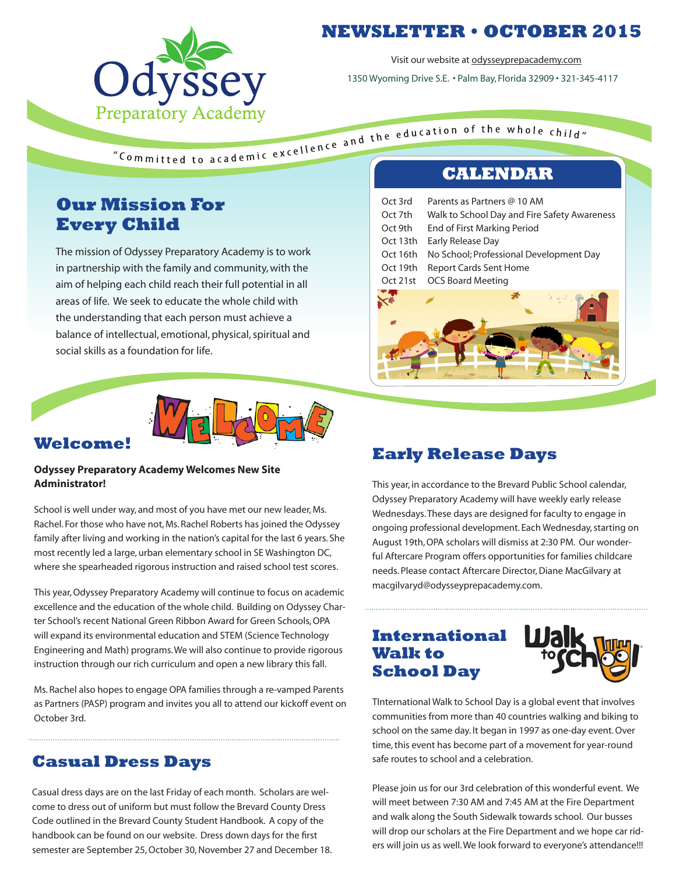

## **NEWSLETTER • OCTOBER 2015**

Visit our website at odysseyprepacademy.com

1350 Wyoming Drive S.E. • Palm Bay, Florida 32909 • 321-345-4117

# **Our Mission For Every Child**

The mission of Odyssey Preparatory Academy is to work in partnership with the family and community, with the aim of helping each child reach their full potential in all areas of life. We seek to educate the whole child with the understanding that each person must achieve a balance of intellectual, emotional, physical, spiritual and social skills as a foundation for life.

#### **Welcome!**

#### **Odyssey Preparatory Academy Welcomes New Site Administrator!**

School is well under way, and most of you have met our new leader, Ms. Rachel. For those who have not, Ms. Rachel Roberts has joined the Odyssey family after living and working in the nation's capital for the last 6 years. She most recently led a large, urban elementary school in SE Washington DC, where she spearheaded rigorous instruction and raised school test scores.

This year, Odyssey Preparatory Academy will continue to focus on academic excellence and the education of the whole child. Building on Odyssey Charter School's recent National Green Ribbon Award for Green Schools, OPA will expand its environmental education and STEM (Science Technology Engineering and Math) programs. We will also continue to provide rigorous instruction through our rich curriculum and open a new library this fall.

Ms. Rachel also hopes to engage OPA families through a re-vamped Parents as Partners (PASP) program and invites you all to attend our kickoff event on October 3rd.

#### **Casual Dress Days**

Casual dress days are on the last Friday of each month. Scholars are welcome to dress out of uniform but must follow the Brevard County Dress Code outlined in the Brevard County Student Handbook. A copy of the handbook can be found on our website. Dress down days for the first semester are September 25, October 30, November 27 and December 18.

| Parents as Partners @ 10 AM<br>Oct 3rd                  |
|---------------------------------------------------------|
| Oct 7th<br>Walk to School Day and Fire Safety Awareness |
| Oct 9th<br>End of First Marking Period                  |
| Oct 13th<br>Early Release Day                           |
| Oct 16th<br>No School; Professional Development Day     |
| Oct 19th<br><b>Report Cards Sent Home</b>               |
| <b>OCS Board Meeting</b><br>Oct 21st                    |
|                                                         |
|                                                         |

#### **Early Release Days**

This year, in accordance to the Brevard Public School calendar, Odyssey Preparatory Academy will have weekly early release Wednesdays. These days are designed for faculty to engage in ongoing professional development. Each Wednesday, starting on August 19th, OPA scholars will dismiss at 2:30 PM. Our wonderful Aftercare Program offers opportunities for families childcare needs. Please contact Aftercare Director, Diane MacGilvary at macgilvaryd@odysseyprepacademy.com.

#### **International Walk to School Day**



TInternational Walk to School Day is a global event that involves communities from more than 40 countries walking and biking to school on the same day. It began in 1997 as one-day event. Over time, this event has become part of a movement for year-round safe routes to school and a celebration.

Please join us for our 3rd celebration of this wonderful event. We will meet between 7:30 AM and 7:45 AM at the Fire Department and walk along the South Sidewalk towards school. Our busses will drop our scholars at the Fire Department and we hope car riders will join us as well. We look forward to everyone's attendance!!!